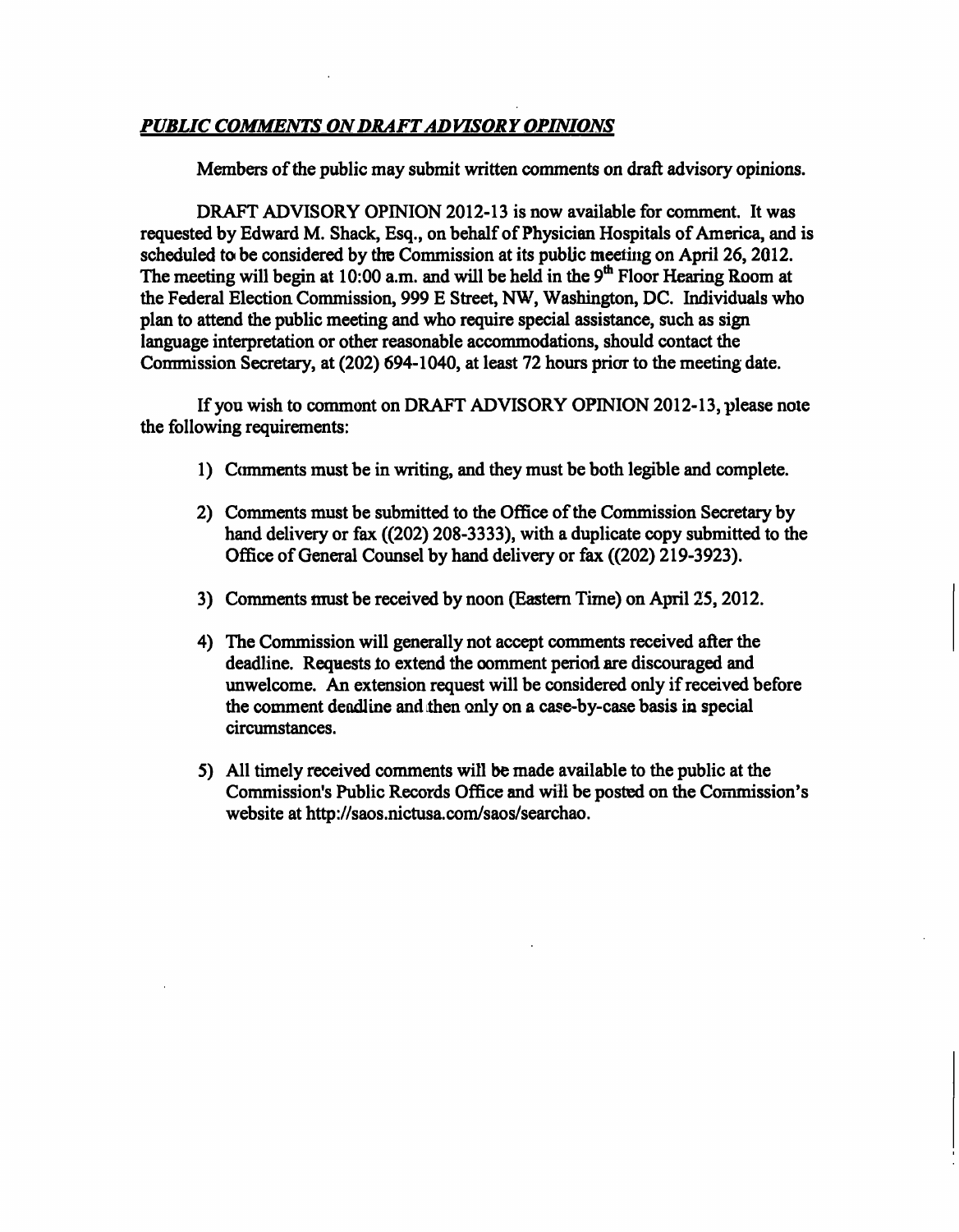### *PUBLIC COMMENTS ON DRAFT ADVISORY OPINIONS*

Members of the public may submit written comments on draft advisory opinions.

DRAFT ADVISORY OPINION 2012-13 is now available for comment. It was requested by Edward M. Shack, Esq., on behalf of Physician Hospitals of America, and is scheduled to be considered by the Commission at its public meeting on April 26, 2012. The meeting will begin at 10:00 a.m. and will be held in the  $9<sup>th</sup>$  Floor Hearing Room at the Federal Election Commission, 999 E Street, NW, Washington, DC. Individuals who plan to attend the public meeting and who require special assistance, such as sign language interpretation or other reasonable accommodations, should contact the Commission Secretary, at (202) 694-1040, at least 72 hours prior to the meeting date.

If you wish to commont on DRAFT ADVISORY OPINION 2012-13, please note the following requirements:

- 1) Comments must be in writing, and they must be both legible and complete.
- 2) Comments must be submitted to the Office of the Commission Secretary by hand delivery or fax ((202) 208-3333), with a duplicate copy submitted to the Office of General Counsel by hand delivery or fax ((202) 219-3923).
- 3) Comments must be received by noon (Eastem Time) on April 25,2012.
- 4) The Commission will generally not accept comments received after the deadline. Requests to extend the comment period are discouraged and unwelcome. An extension request will be considered only if received before the comment deadline and then only on a case-by-case basis in special circumstances.
- 5) All timely received comments will be made available to the public at the Commission's Public Records Office and will be posted on the Commission's website at http://saos.nictusa.com/saos/searchao.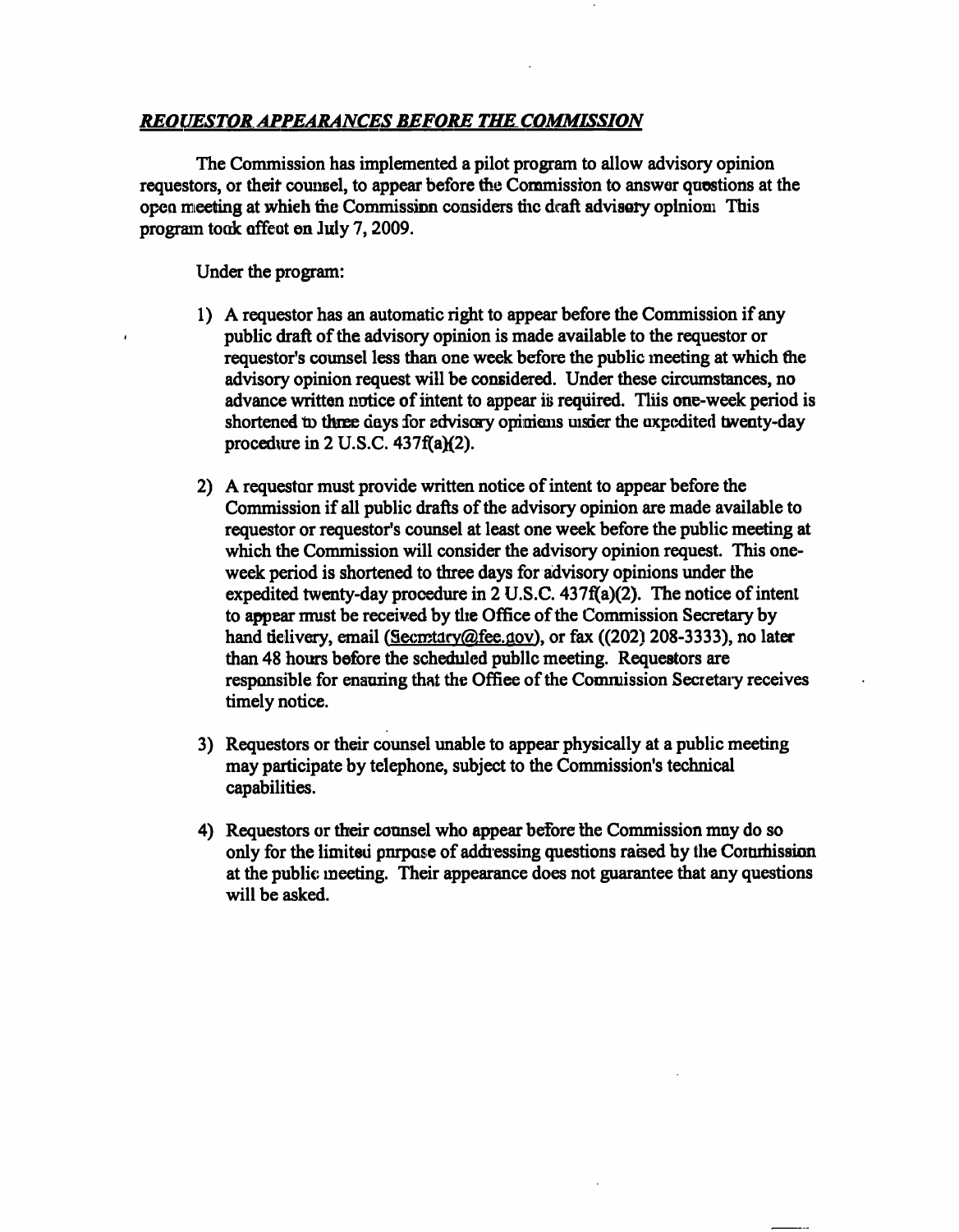### *REOUESTOR APPEARANCES BEFORE THE COMMISSION*

The Commission has implemented a pilot program to allow advisory opinion requestors, or their counsel, to appear before the Commission to answer questions at the open meeting at which the Commission considers the draft advisory opinion. This program took effect on July 7,2009.

Under the program:

- 1) A requestor has an automatic rigiht to appear before the Commission if any public draft of the advisory opinion is made available to the requestor or requestor's counsel less than one week before the public meeting at which the advisory opinion request will be considered. Under these circumstances, no advance written notice of intent to appear is required. This one-week period is shortened to three days for advisory opinions usier the expedited twenty-day procedure in 2 U.S.C. 437f(a)(2).
- 2) A requestor must provide written notice of intent to appear before the Commission if all public drafts of the advisory opinion are made available to requestor or requestor's counsel at least one week before the public meeting at which the Commission will consider the advisory opinion request. This oneweek period is shortened to three days for advisory opinions under the expedited twenty-day procedure in 2 U.S.C. 437f(a)(2). The notice of intent to appear must be received by the Office of the Commission Secretary by hand tielivery, email (Secretary@fee.gov), or fax ((202) 208-3333), no later than 48 hours before the scheduled public meeting. Requestors are responsible for ensuring that the Office of the Commission Secretary receives timely notice.
- 3) Requestors or their counsel unable to appear physically at a public meeting may participate by telephone, subject to the Commission's technical capabilities.
- 4) Requestors or their counsel who appear before the Commission may do so only for the limited purpose of addressing questions raised by the Commission at the public meeting. Their appearance does not guarantee that any questions will be asked.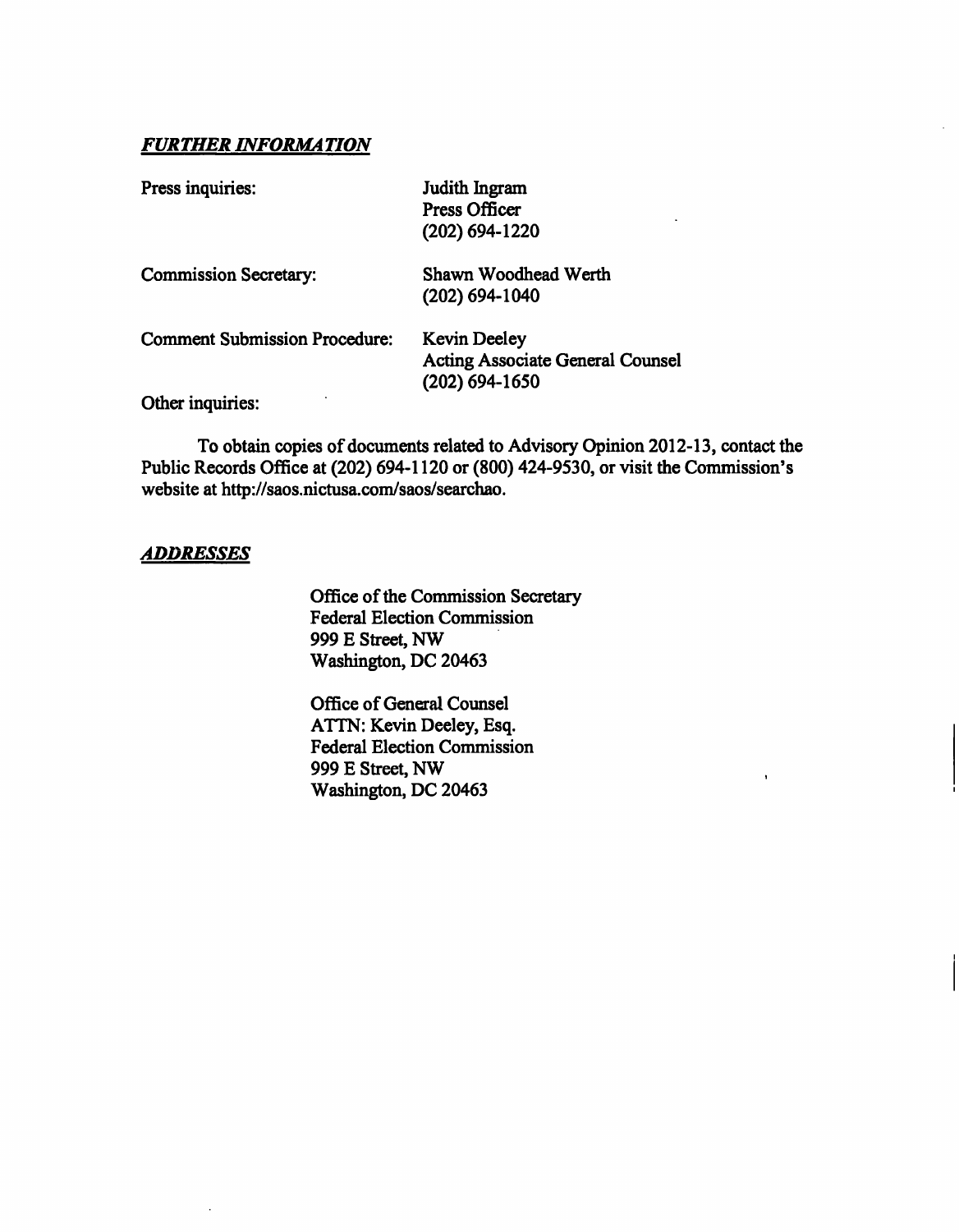### *FURTHER INFORMATION*

| Press inquiries:                     | Judith Ingram                                               |  |
|--------------------------------------|-------------------------------------------------------------|--|
|                                      | <b>Press Officer</b>                                        |  |
|                                      | $(202)$ 694-1220                                            |  |
| <b>Commission Secretary:</b>         | Shawn Woodhead Werth                                        |  |
|                                      | $(202)$ 694-1040                                            |  |
| <b>Comment Submission Procedure:</b> | <b>Kevin Deeley</b>                                         |  |
|                                      | <b>Acting Associate General Counsel</b><br>$(202)$ 694-1650 |  |
| Other inquiries:                     |                                                             |  |

To obtain copies of docmnents related to Advisory Opinion 2012-13, contact the Public Records Office at (202) 694-1120 or (800) 424-9530, or visit the Commission's website at http://saos.nictusa.com/saos/searchao.

#### *ADDRESSES*

Office of the Commission Secretary Federal Election Commission 999 E Street, NW Washington, DC 20463

Office of General Counsel ATTN: Kevin Deeley, Esq. Federal Election Commission 999 E Street, NW Washington, DC 20463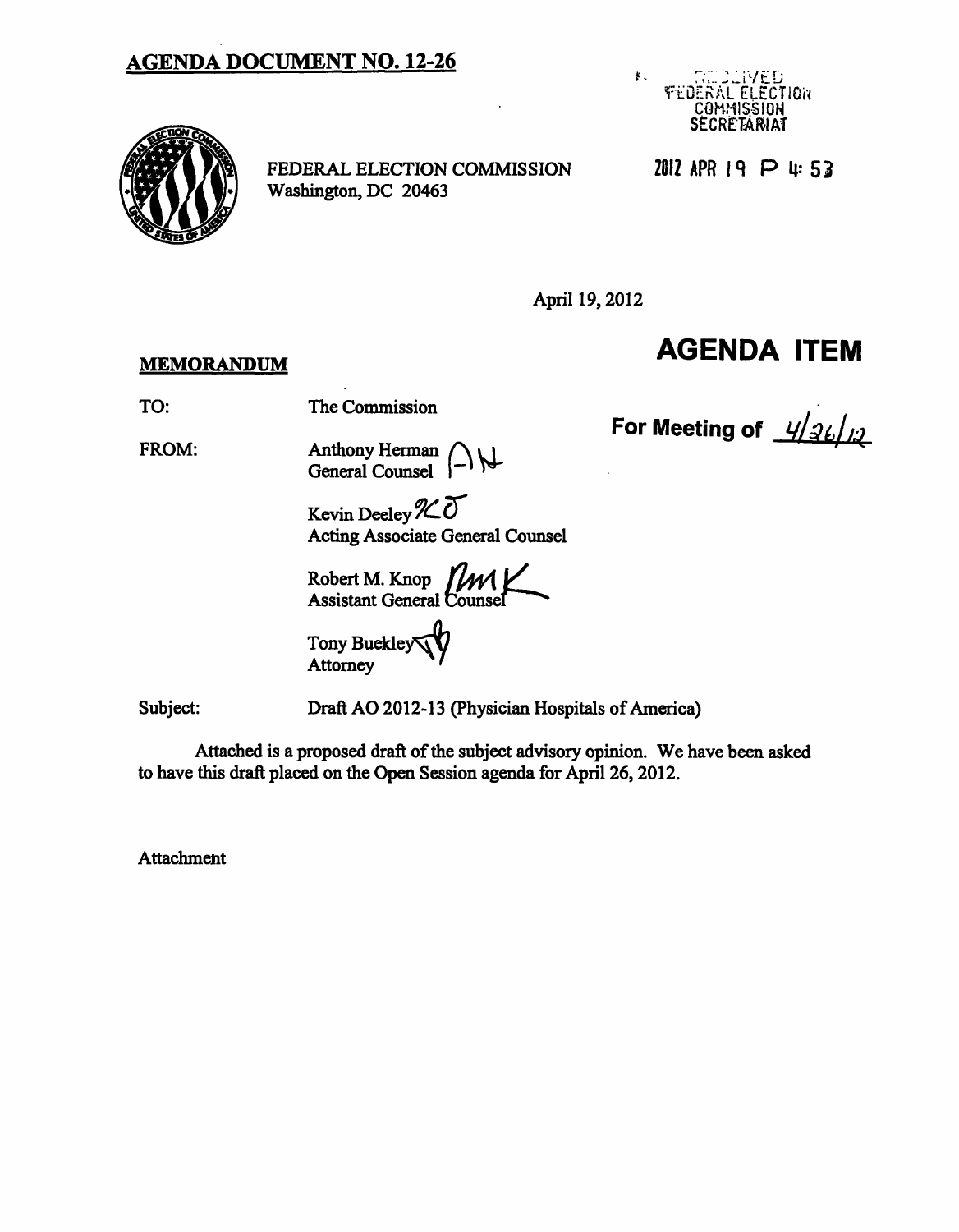## **AGENDA DOCUMENT NO. 12-26**





FEDERAL ELECTION COMMISSION Washington, DC 20463

2012 APR 19 P 4:53

April 19,2012

### **MEMORANDUM**

# **AGENDA ITEM**

For Meeting of  $\frac{1}{2}\frac{1}{2}\frac{1}{2}\frac{1}{2}$ 

TO:

FROM:

The Commission

Anthony Herman General Counsel (-)

Kevin Deeley  $\chi$ 0 Acting Associate General Counsel

Robert M. Knop  $\left\lceil \mathcal{W}\right\rceil \right\lceil \mathcal{W}\right\rceil$ Assistant General Counsel

Tony Buckley' **Attorney** 

Subject:

Draft AO 2012-13 (Physician Hospitals of America)

Attached is a proposed draft of the subject advisory opinion. We have been asked to have this draft placed on the Open Session agenda for April 26,2012.

**Attachment**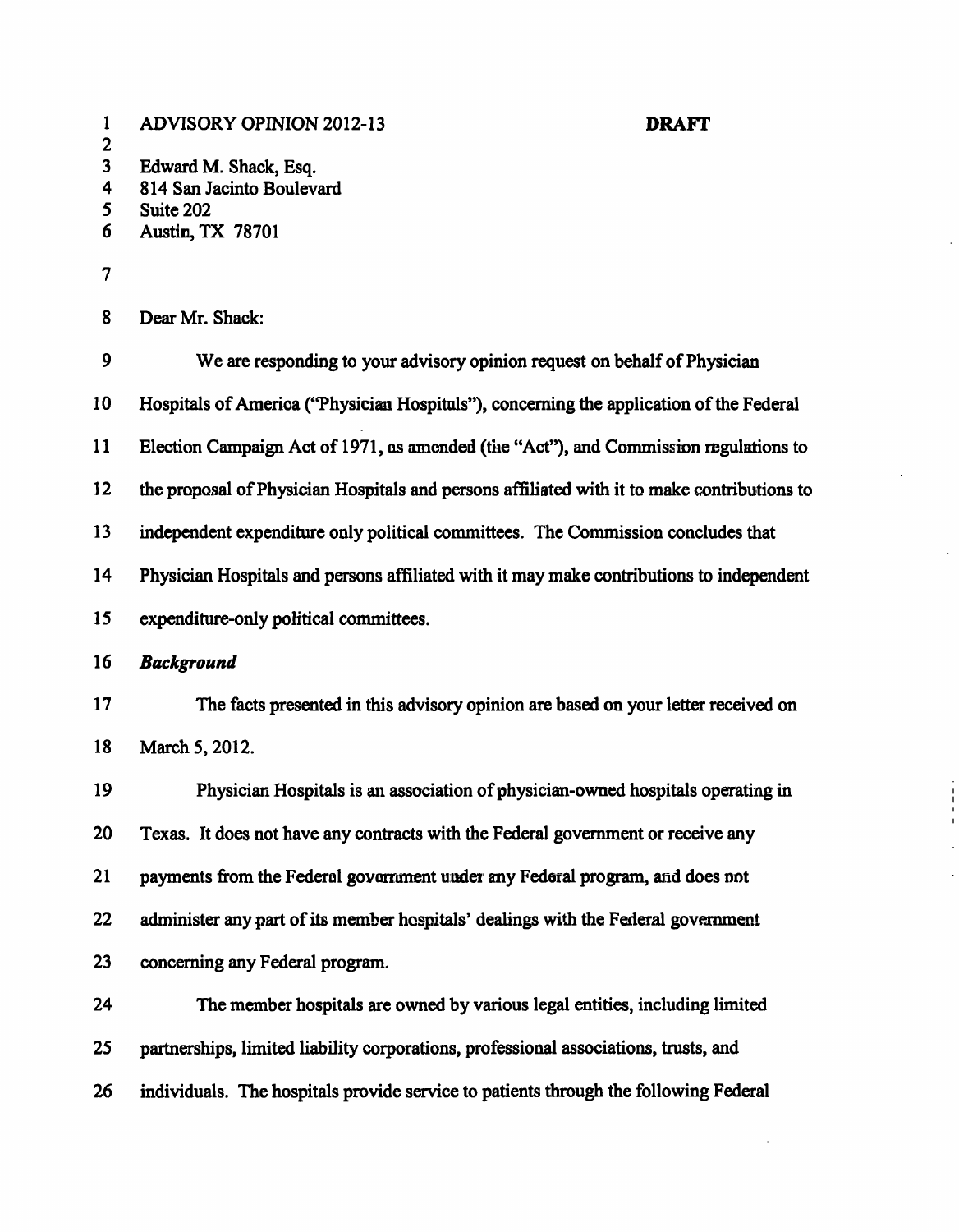| $\mathbf{1}$<br>$\boldsymbol{2}$ | <b>ADVISORY OPINION 2012-13</b><br><b>DRAFT</b>                                             |  |
|----------------------------------|---------------------------------------------------------------------------------------------|--|
| $\overline{\mathbf{3}}$          | Edward M. Shack, Esq.                                                                       |  |
| 4                                | 814 San Jacinto Boulevard                                                                   |  |
| 5<br>6                           | Suite 202<br><b>Austin, TX 78701</b>                                                        |  |
|                                  |                                                                                             |  |
| 7                                |                                                                                             |  |
| 8                                | Dear Mr. Shack:                                                                             |  |
| 9                                | We are responding to your advisory opinion request on behalf of Physician                   |  |
| 10                               | Hospitals of America ("Physician Hospituls"), concerning the application of the Federal     |  |
| 11                               | Election Campaign Act of 1971, as amended (the "Act"), and Commission regulations to        |  |
| 12                               | the proposal of Physician Hospitals and persons affiliated with it to make contributions to |  |
| 13                               | independent expenditure only political committees. The Commission concludes that            |  |
| 14                               | Physician Hospitals and persons affiliated with it may make contributions to independent    |  |
| 15                               | expenditure-only political committees.                                                      |  |
| 16                               | <b>Background</b>                                                                           |  |
| 17                               | The facts presented in this advisory opinion are based on your letter received on           |  |
| 18                               | March 5, 2012.                                                                              |  |
| 19                               | Physician Hospitals is an association of physician-owned hospitals operating in             |  |
| 20                               | Texas. It does not have any contracts with the Federal government or receive any            |  |
| 21                               | payments from the Federal government under any Federal program, and does not                |  |
| 22                               | administer any part of its member hospitals' dealings with the Federal government           |  |
| 23                               | concerning any Federal program.                                                             |  |
| 24                               | The member hospitals are owned by various legal entities, including limited                 |  |
| 25                               | partnerships, limited liability corporations, professional associations, trusts, and        |  |
| 26                               | individuals. The hospitals provide service to patients through the following Federal        |  |
|                                  |                                                                                             |  |

 $\mathcal{A}^{\mathcal{A}}$ 

 $\ddot{\phantom{0}}$ 

 $\frac{1}{\sqrt{2}}$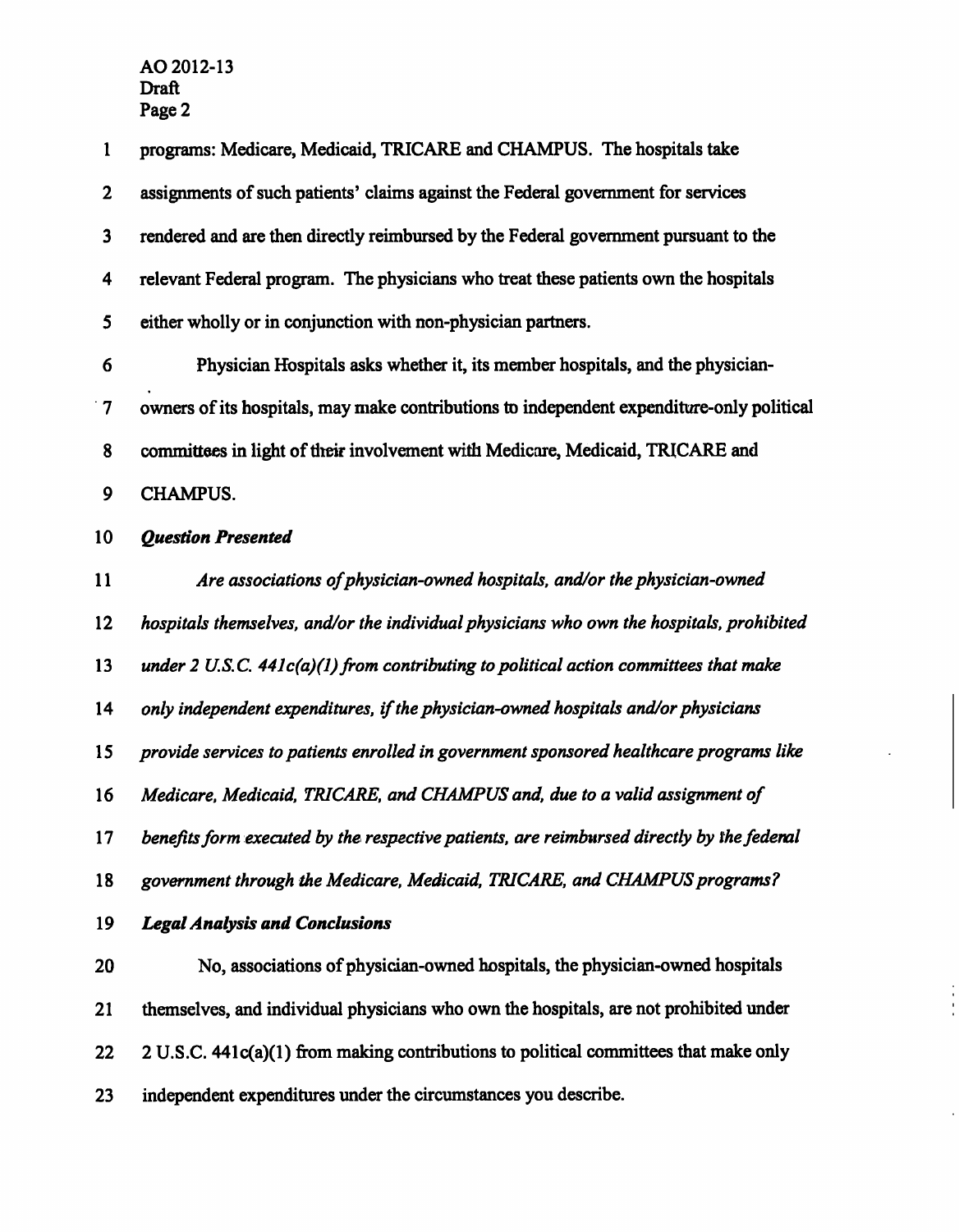| $\mathbf{1}$    | programs: Medicare, Medicaid, TRICARE and CHAMPUS. The hospitals take                     |
|-----------------|-------------------------------------------------------------------------------------------|
| $\mathbf{2}$    | assignments of such patients' claims against the Federal government for services          |
| $\mathbf{3}$    | rendered and are then directly reimbursed by the Federal government pursuant to the       |
| 4               | relevant Federal program. The physicians who treat these patients own the hospitals       |
| 5               | either wholly or in conjunction with non-physician partners.                              |
| 6               | Physician Hospitals asks whether it, its member hospitals, and the physician-             |
| $\overline{7}$  | owners of its hospitals, may make contributions to independent expenditure-only political |
| 8               | committees in light of their involvement with Medicare, Medicaid, TRICARE and             |
| 9               | <b>CHAMPUS.</b>                                                                           |
| 10              | <b>Question Presented</b>                                                                 |
| 11              | Are associations of physician-owned hospitals, and/or the physician-owned                 |
| 12              | hospitals themselves, and/or the individual physicians who own the hospitals, prohibited  |
| 13              | under 2 U.S.C. $44lc(a)(1)$ from contributing to political action committees that make    |
| 14              | only independent expenditures, if the physician-owned hospitals and/or physicians         |
| 15              | provide services to patients enrolled in government sponsored healthcare programs like    |
| 16              | Medicare, Medicaid, TRICARE, and CHAMPUS and, due to a valid assignment of                |
| 17 <sup>7</sup> | benefits form executed by the respective patients, are reimbursed directly by the fedenal |
| 18              | government through the Medicare, Medicaid, TRICARE, and CHAMPUS programs?                 |
| 19              | <b>Legal Analysis and Conclusions</b>                                                     |
| 20              | No, associations of physician-owned hospitals, the physician-owned hospitals              |
| 21              | themselves, and individual physicians who own the hospitals, are not prohibited under     |
| 22              | 2 U.S.C. 441c(a)(1) from making contributions to political committees that make only      |
| 23              | independent expenditures under the circumstances you describe.                            |

 $\frac{1}{\sqrt{2}}$ 

 $\ddot{\phantom{0}}$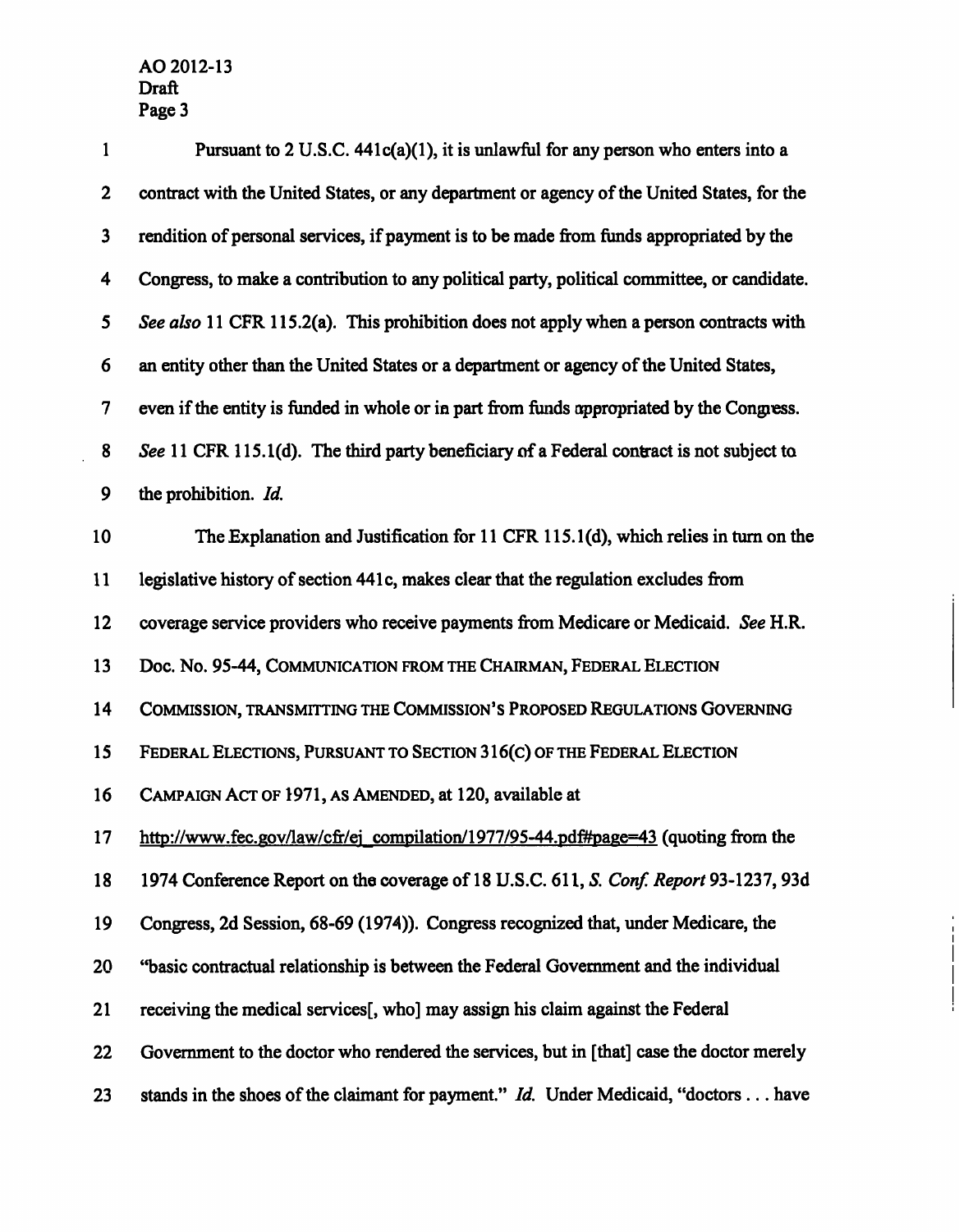$\overline{\phantom{a}}$ 

| $\mathbf{1}$            | Pursuant to 2 U.S.C. $441c(a)(1)$ , it is unlawful for any person who enters into a         |
|-------------------------|---------------------------------------------------------------------------------------------|
| $\boldsymbol{2}$        | contract with the United States, or any department or agency of the United States, for the  |
| $\mathbf{3}$            | rendition of personal services, if payment is to be made from funds appropriated by the     |
| $\overline{\mathbf{4}}$ | Congress, to make a contribution to any political party, political committee, or candidate. |
| $\mathbf{5}$            | See also 11 CFR 115.2(a). This prohibition does not apply when a person contracts with      |
| 6                       | an entity other than the United States or a department or agency of the United States,      |
| $\boldsymbol{7}$        | even if the entity is funded in whole or in part from funds appropriated by the Congress.   |
| 8                       | See 11 CFR 115.1(d). The third party beneficiary of a Federal contract is not subject to    |
| 9                       | the prohibition. Id.                                                                        |
| 10                      | The Explanation and Justification for 11 CFR 115.1(d), which relies in turn on the          |
| 11                      | legislative history of section 441c, makes clear that the regulation excludes from          |
| 12                      | coverage service providers who receive payments from Medicare or Medicaid. See H.R.         |
| 13                      | Doc. No. 95-44, COMMUNICATION FROM THE CHAIRMAN, FEDERAL ELECTION                           |
| 14                      | COMMISSION, TRANSMITTING THE COMMISSION'S PROPOSED REGULATIONS GOVERNING                    |
| 15                      | FEDERAL ELECTIONS, PURSUANT TO SECTION 316(C) OF THE FEDERAL ELECTION                       |
| 16                      | CAMPAIGN ACT OF 1971, AS AMENDED, at 120, available at                                      |
| 17 <sub>2</sub>         | http://www.fec.gov/law/cfr/ej_compilation/1977/95-44.pdf#page=43 (quoting from the          |
| 18                      | 1974 Conference Report on the coverage of 18 U.S.C. 611, S. Conf. Report 93-1237, 93d       |
| 19                      | Congress, 2d Session, 68-69 (1974)). Congress recognized that, under Medicare, the          |
| 20                      | "basic contractual relationship is between the Federal Government and the individual        |
| 21                      | receiving the medical services [, who] may assign his claim against the Federal             |
| 22                      | Government to the doctor who rendered the services, but in [that] case the doctor merely    |
| 23                      | stands in the shoes of the claimant for payment." $Id$ . Under Medicaid, "doctors  have     |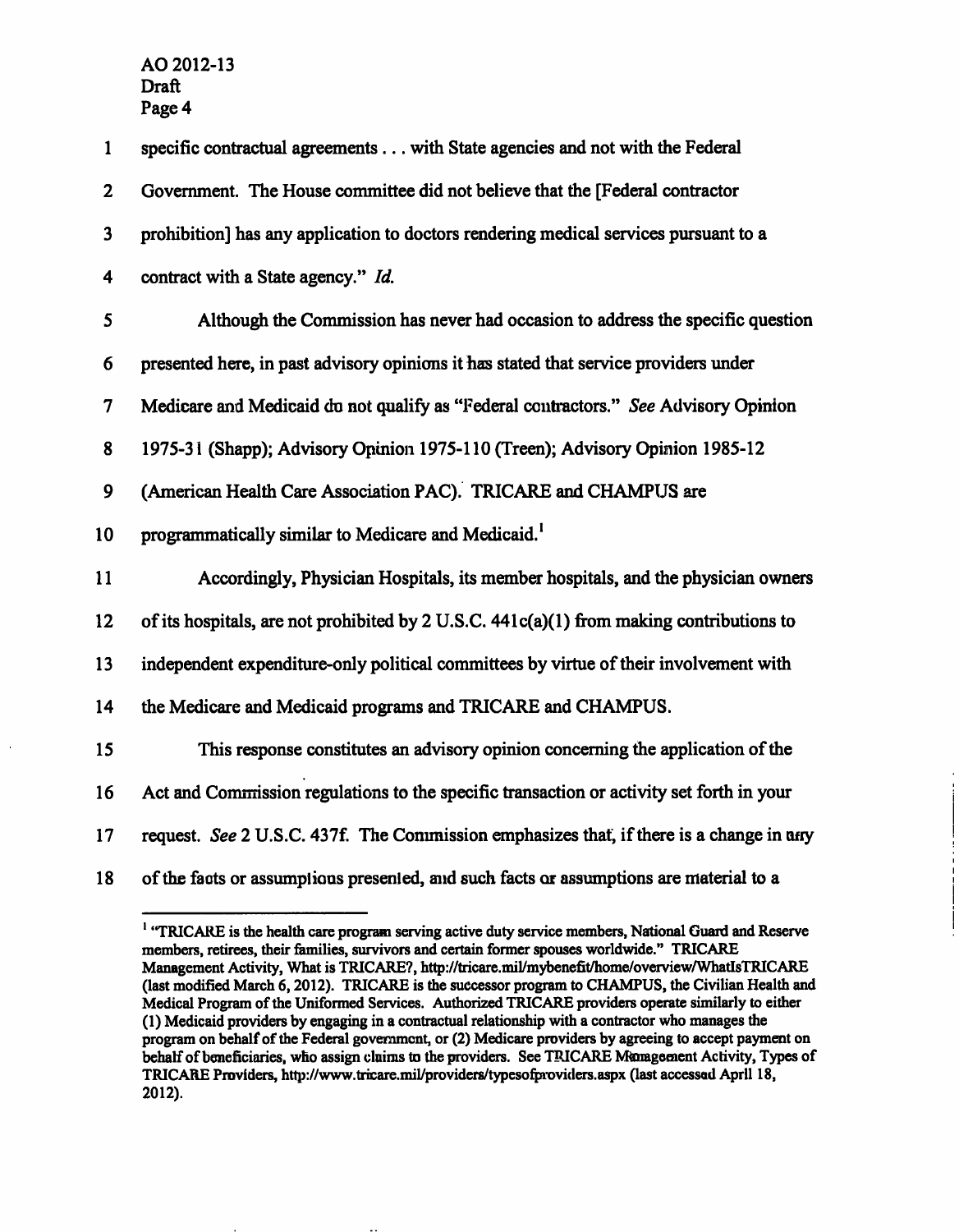| $\mathbf{1}$            | specific contractual agreements with State agencies and not with the Federal             |
|-------------------------|------------------------------------------------------------------------------------------|
| $\mathbf{2}$            | Government. The House committee did not believe that the [Federal contractor             |
| $\overline{\mathbf{3}}$ | prohibition] has any application to doctors rendering medical services pursuant to a     |
| 4                       | contract with a State agency." Id.                                                       |
| 5                       | Although the Commission has never had occasion to address the specific question          |
| 6                       | presented here, in past advisory opinions it has stated that service providers under     |
| 7                       | Medicare and Medicaid du not qualify as "Federal contractors." See Advisory Opinion      |
| 8                       | 1975-31 (Shapp); Advisory Opinion 1975-110 (Treen); Advisory Opinion 1985-12             |
| 9                       | (American Health Care Association PAC). TRICARE and CHAMPUS are                          |
| 10                      | programmatically similar to Medicare and Medicaid. <sup>1</sup>                          |
| 11                      | Accordingly, Physician Hospitals, its member hospitals, and the physician owners         |
| 12                      | of its hospitals, are not prohibited by 2 U.S.C. 441c(a)(1) from making contributions to |
| 13                      | independent expenditure-only political committees by virtue of their involvement with    |
| 14                      | the Medicare and Medicaid programs and TRICARE and CHAMPUS.                              |
| 15                      | This response constitutes an advisory opinion concerning the application of the          |
| 16                      | Act and Commission regulations to the specific transaction or activity set forth in your |
| 17                      | request. See 2 U.S.C. 437f. The Commission emphasizes that, if there is a change in any  |
| 18                      | of the facts or assumptions presented, and such facts or assumptions are material to a   |

**<sup>&#</sup>x27; "TRICARE is the health care program serving active duty service members, National Guard and Reserve members, retirees, their families, survivors and certain former spouses worldwide." TRICARE**  Management Activity, What is TRICARE?, http://tricare.mil/mybenefit/home/overview/WhatIsTRICARE **(last modified March 6,2012). TRICARE is the successor program to CHAMPUS, the Civilian Health and Medical Program of the Uniformed Services. Authorized TRICARE providers operate similarly to either (1) Medicaid providers by engaging in a contractual relationship with a contractor who manages the program on behalf of the Federal govemment, or (2) Medicare providers by agreeing to accept payment on behalf of beneficiaries, who assign claims to the providers. See TRICARE Management Activity, Types of**  TRICARE Providers, http://www.tricare.mil/providers/typesofproviders.aspx (last accessed April 18, **2012).**